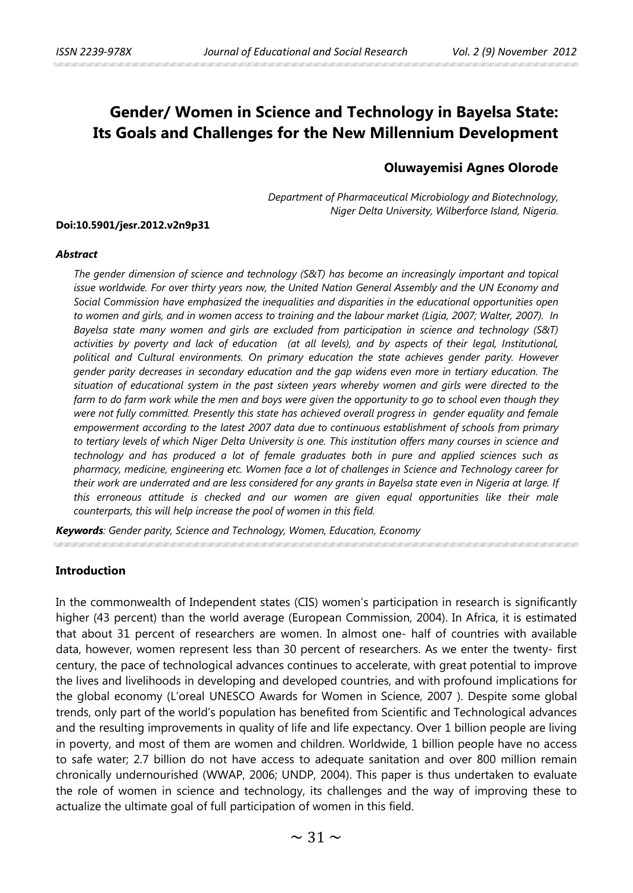# **Gender/ Women in Science and Technology in Bayelsa State: Its Goals and Challenges for the New Millennium Development**

# **Oluwayemisi Agnes Olorode**

*Department of Pharmaceutical Microbiology and Biotechnology, Niger Delta University, Wilberforce Island, Nigeria.*

#### **Doi:10.5901/jesr.2012.v2n9p31**

#### *Abstract*

*The gender dimension of science and technology (S&T) has become an increasingly important and topical*  issue worldwide. For over thirty years now, the United Nation General Assembly and the UN Economy and *Social Commission have emphasized the inequalities and disparities in the educational opportunities open to women and girls, and in women access to training and the labour market (Ligia, 2007; Walter, 2007). In Bayelsa state many women and girls are excluded from participation in science and technology (S&T) activities by poverty and lack of education (at all levels), and by aspects of their legal, Institutional, political and Cultural environments. On primary education the state achieves gender parity. However gender parity decreases in secondary education and the gap widens even more in tertiary education. The situation of educational system in the past sixteen years whereby women and girls were directed to the farm to do farm work while the men and boys were given the opportunity to go to school even though they were not fully committed. Presently this state has achieved overall progress in gender equality and female empowerment according to the latest 2007 data due to continuous establishment of schools from primary to tertiary levels of which Niger Delta University is one. This institution offers many courses in science and technology and has produced a lot of female graduates both in pure and applied sciences such as pharmacy, medicine, engineering etc. Women face a lot of challenges in Science and Technology career for their work are underrated and are less considered for any grants in Bayelsa state even in Nigeria at large. If this erroneous attitude is checked and our women are given equal opportunities like their male counterparts, this will help increase the pool of women in this field.* 

*Keywords: Gender parity, Science and Technology, Women, Education, Economy*

### **Introduction**

In the commonwealth of Independent states (CIS) women's participation in research is significantly higher (43 percent) than the world average (European Commission, 2004). In Africa, it is estimated that about 31 percent of researchers are women. In almost one- half of countries with available data, however, women represent less than 30 percent of researchers. As we enter the twenty- first century, the pace of technological advances continues to accelerate, with great potential to improve the lives and livelihoods in developing and developed countries, and with profound implications for the global economy (L'oreal UNESCO Awards for Women in Science, 2007 ). Despite some global trends, only part of the world's population has benefited from Scientific and Technological advances and the resulting improvements in quality of life and life expectancy. Over 1 billion people are living in poverty, and most of them are women and children. Worldwide, 1 billion people have no access to safe water; 2.7 billion do not have access to adequate sanitation and over 800 million remain chronically undernourished (WWAP, 2006; UNDP, 2004). This paper is thus undertaken to evaluate the role of women in science and technology, its challenges and the way of improving these to actualize the ultimate goal of full participation of women in this field.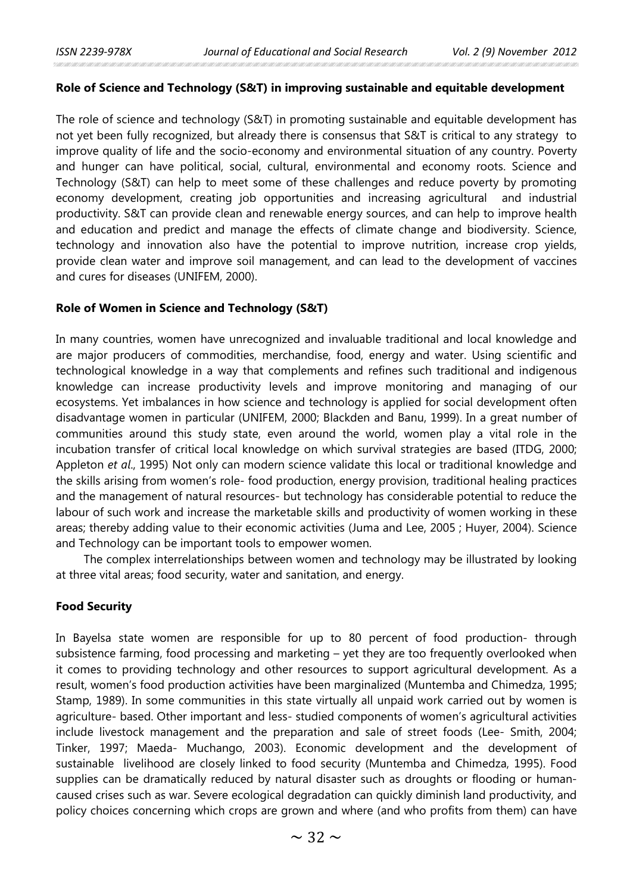#### **Role of Science and Technology (S&T) in improving sustainable and equitable development**

The role of science and technology (S&T) in promoting sustainable and equitable development has not yet been fully recognized, but already there is consensus that S&T is critical to any strategy to improve quality of life and the socio-economy and environmental situation of any country. Poverty and hunger can have political, social, cultural, environmental and economy roots. Science and Technology (S&T) can help to meet some of these challenges and reduce poverty by promoting economy development, creating job opportunities and increasing agricultural and industrial productivity. S&T can provide clean and renewable energy sources, and can help to improve health and education and predict and manage the effects of climate change and biodiversity. Science, technology and innovation also have the potential to improve nutrition, increase crop yields, provide clean water and improve soil management, and can lead to the development of vaccines and cures for diseases (UNIFEM, 2000).

### **Role of Women in Science and Technology (S&T)**

In many countries, women have unrecognized and invaluable traditional and local knowledge and are major producers of commodities, merchandise, food, energy and water. Using scientific and technological knowledge in a way that complements and refines such traditional and indigenous knowledge can increase productivity levels and improve monitoring and managing of our ecosystems. Yet imbalances in how science and technology is applied for social development often disadvantage women in particular (UNIFEM, 2000; Blackden and Banu, 1999). In a great number of communities around this study state, even around the world, women play a vital role in the incubation transfer of critical local knowledge on which survival strategies are based (ITDG, 2000; Appleton *et al*., 1995) Not only can modern science validate this local or traditional knowledge and the skills arising from women's role- food production, energy provision, traditional healing practices and the management of natural resources- but technology has considerable potential to reduce the labour of such work and increase the marketable skills and productivity of women working in these areas; thereby adding value to their economic activities (Juma and Lee, 2005 ; Huyer, 2004). Science and Technology can be important tools to empower women.

The complex interrelationships between women and technology may be illustrated by looking at three vital areas; food security, water and sanitation, and energy.

### **Food Security**

In Bayelsa state women are responsible for up to 80 percent of food production- through subsistence farming, food processing and marketing – yet they are too frequently overlooked when it comes to providing technology and other resources to support agricultural development. As a result, women's food production activities have been marginalized (Muntemba and Chimedza, 1995; Stamp, 1989). In some communities in this state virtually all unpaid work carried out by women is agriculture- based. Other important and less- studied components of women's agricultural activities include livestock management and the preparation and sale of street foods (Lee- Smith, 2004; Tinker, 1997; Maeda- Muchango, 2003). Economic development and the development of sustainable livelihood are closely linked to food security (Muntemba and Chimedza, 1995). Food supplies can be dramatically reduced by natural disaster such as droughts or flooding or humancaused crises such as war. Severe ecological degradation can quickly diminish land productivity, and policy choices concerning which crops are grown and where (and who profits from them) can have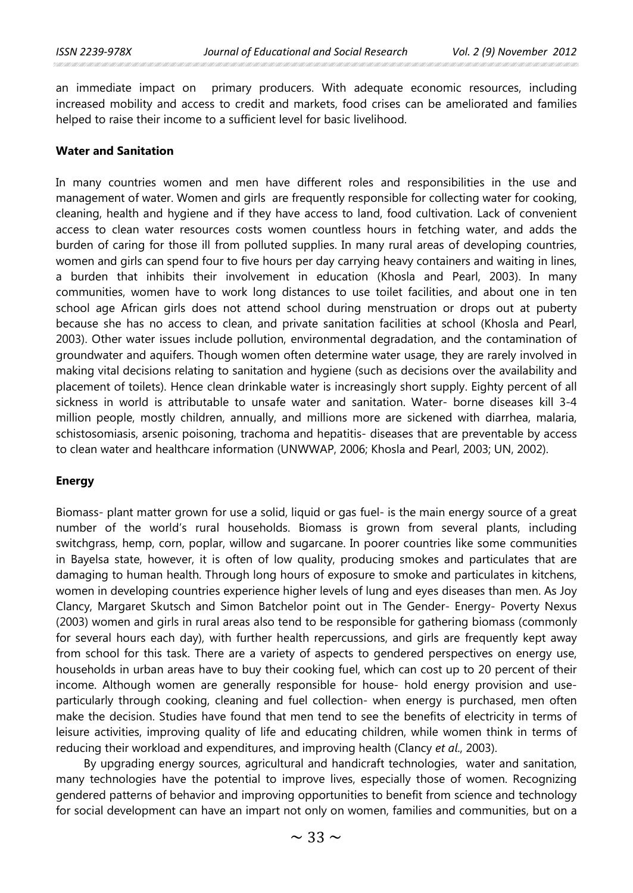an immediate impact on primary producers. With adequate economic resources, including increased mobility and access to credit and markets, food crises can be ameliorated and families helped to raise their income to a sufficient level for basic livelihood.

### **Water and Sanitation**

In many countries women and men have different roles and responsibilities in the use and management of water. Women and girls are frequently responsible for collecting water for cooking, cleaning, health and hygiene and if they have access to land, food cultivation. Lack of convenient access to clean water resources costs women countless hours in fetching water, and adds the burden of caring for those ill from polluted supplies. In many rural areas of developing countries, women and girls can spend four to five hours per day carrying heavy containers and waiting in lines, a burden that inhibits their involvement in education (Khosla and Pearl, 2003). In many communities, women have to work long distances to use toilet facilities, and about one in ten school age African girls does not attend school during menstruation or drops out at puberty because she has no access to clean, and private sanitation facilities at school (Khosla and Pearl, 2003). Other water issues include pollution, environmental degradation, and the contamination of groundwater and aquifers. Though women often determine water usage, they are rarely involved in making vital decisions relating to sanitation and hygiene (such as decisions over the availability and placement of toilets). Hence clean drinkable water is increasingly short supply. Eighty percent of all sickness in world is attributable to unsafe water and sanitation. Water- borne diseases kill 3-4 million people, mostly children, annually, and millions more are sickened with diarrhea, malaria, schistosomiasis, arsenic poisoning, trachoma and hepatitis- diseases that are preventable by access to clean water and healthcare information (UNWWAP, 2006; Khosla and Pearl, 2003; UN, 2002).

### **Energy**

Biomass- plant matter grown for use a solid, liquid or gas fuel- is the main energy source of a great number of the world's rural households. Biomass is grown from several plants, including switchgrass, hemp, corn, poplar, willow and sugarcane. In poorer countries like some communities in Bayelsa state, however, it is often of low quality, producing smokes and particulates that are damaging to human health. Through long hours of exposure to smoke and particulates in kitchens, women in developing countries experience higher levels of lung and eyes diseases than men. As Joy Clancy, Margaret Skutsch and Simon Batchelor point out in The Gender- Energy- Poverty Nexus (2003) women and girls in rural areas also tend to be responsible for gathering biomass (commonly for several hours each day), with further health repercussions, and girls are frequently kept away from school for this task. There are a variety of aspects to gendered perspectives on energy use, households in urban areas have to buy their cooking fuel, which can cost up to 20 percent of their income. Although women are generally responsible for house- hold energy provision and useparticularly through cooking, cleaning and fuel collection- when energy is purchased, men often make the decision. Studies have found that men tend to see the benefits of electricity in terms of leisure activities, improving quality of life and educating children, while women think in terms of reducing their workload and expenditures, and improving health (Clancy *et al*., 2003).

By upgrading energy sources, agricultural and handicraft technologies, water and sanitation, many technologies have the potential to improve lives, especially those of women. Recognizing gendered patterns of behavior and improving opportunities to benefit from science and technology for social development can have an impart not only on women, families and communities, but on a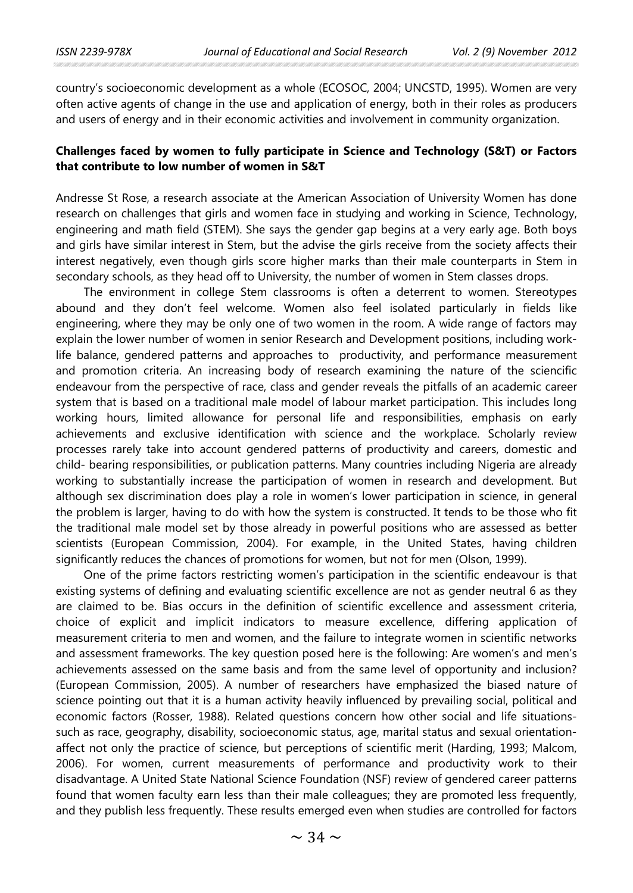country's socioeconomic development as a whole (ECOSOC, 2004; UNCSTD, 1995). Women are very often active agents of change in the use and application of energy, both in their roles as producers and users of energy and in their economic activities and involvement in community organization.

# **Challenges faced by women to fully participate in Science and Technology (S&T) or Factors that contribute to low number of women in S&T**

Andresse St Rose, a research associate at the American Association of University Women has done research on challenges that girls and women face in studying and working in Science, Technology, engineering and math field (STEM). She says the gender gap begins at a very early age. Both boys and girls have similar interest in Stem, but the advise the girls receive from the society affects their interest negatively, even though girls score higher marks than their male counterparts in Stem in secondary schools, as they head off to University, the number of women in Stem classes drops.

The environment in college Stem classrooms is often a deterrent to women. Stereotypes abound and they don't feel welcome. Women also feel isolated particularly in fields like engineering, where they may be only one of two women in the room. A wide range of factors may explain the lower number of women in senior Research and Development positions, including worklife balance, gendered patterns and approaches to productivity, and performance measurement and promotion criteria. An increasing body of research examining the nature of the sciencific endeavour from the perspective of race, class and gender reveals the pitfalls of an academic career system that is based on a traditional male model of labour market participation. This includes long working hours, limited allowance for personal life and responsibilities, emphasis on early achievements and exclusive identification with science and the workplace. Scholarly review processes rarely take into account gendered patterns of productivity and careers, domestic and child- bearing responsibilities, or publication patterns. Many countries including Nigeria are already working to substantially increase the participation of women in research and development. But although sex discrimination does play a role in women's lower participation in science, in general the problem is larger, having to do with how the system is constructed. It tends to be those who fit the traditional male model set by those already in powerful positions who are assessed as better scientists (European Commission, 2004). For example, in the United States, having children significantly reduces the chances of promotions for women, but not for men (Olson, 1999).

One of the prime factors restricting women's participation in the scientific endeavour is that existing systems of defining and evaluating scientific excellence are not as gender neutral 6 as they are claimed to be. Bias occurs in the definition of scientific excellence and assessment criteria, choice of explicit and implicit indicators to measure excellence, differing application of measurement criteria to men and women, and the failure to integrate women in scientific networks and assessment frameworks. The key question posed here is the following: Are women's and men's achievements assessed on the same basis and from the same level of opportunity and inclusion? (European Commission, 2005). A number of researchers have emphasized the biased nature of science pointing out that it is a human activity heavily influenced by prevailing social, political and economic factors (Rosser, 1988). Related questions concern how other social and life situationssuch as race, geography, disability, socioeconomic status, age, marital status and sexual orientationaffect not only the practice of science, but perceptions of scientific merit (Harding, 1993; Malcom, 2006). For women, current measurements of performance and productivity work to their disadvantage. A United State National Science Foundation (NSF) review of gendered career patterns found that women faculty earn less than their male colleagues; they are promoted less frequently, and they publish less frequently. These results emerged even when studies are controlled for factors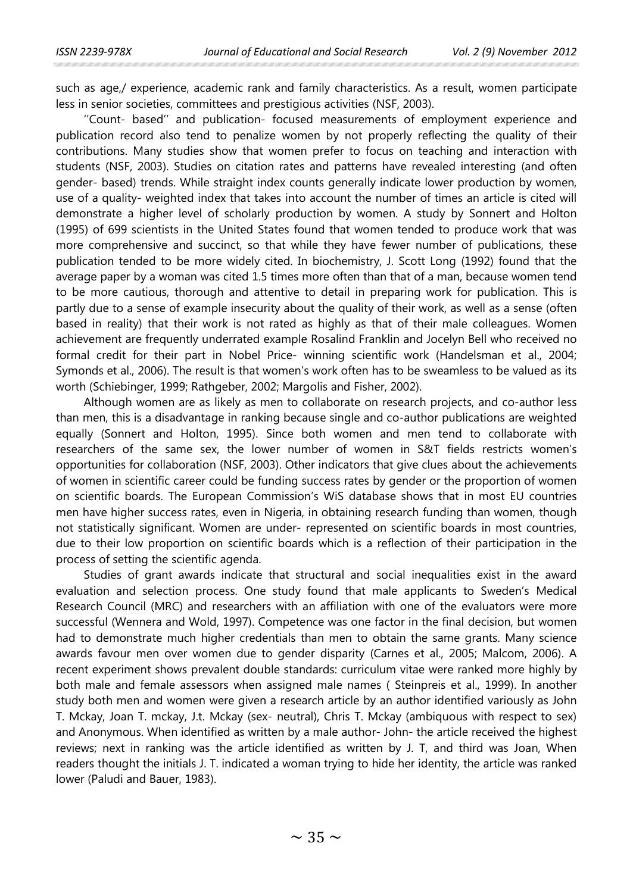such as age,/ experience, academic rank and family characteristics. As a result, women participate less in senior societies, committees and prestigious activities (NSF, 2003).

''Count- based'' and publication- focused measurements of employment experience and publication record also tend to penalize women by not properly reflecting the quality of their contributions. Many studies show that women prefer to focus on teaching and interaction with students (NSF, 2003). Studies on citation rates and patterns have revealed interesting (and often gender- based) trends. While straight index counts generally indicate lower production by women, use of a quality- weighted index that takes into account the number of times an article is cited will demonstrate a higher level of scholarly production by women. A study by Sonnert and Holton (1995) of 699 scientists in the United States found that women tended to produce work that was more comprehensive and succinct, so that while they have fewer number of publications, these publication tended to be more widely cited. In biochemistry, J. Scott Long (1992) found that the average paper by a woman was cited 1.5 times more often than that of a man, because women tend to be more cautious, thorough and attentive to detail in preparing work for publication. This is partly due to a sense of example insecurity about the quality of their work, as well as a sense (often based in reality) that their work is not rated as highly as that of their male colleagues. Women achievement are frequently underrated example Rosalind Franklin and Jocelyn Bell who received no formal credit for their part in Nobel Price- winning scientific work (Handelsman et al., 2004; Symonds et al., 2006). The result is that women's work often has to be sweamless to be valued as its worth (Schiebinger, 1999; Rathgeber, 2002; Margolis and Fisher, 2002).

Although women are as likely as men to collaborate on research projects, and co-author less than men, this is a disadvantage in ranking because single and co-author publications are weighted equally (Sonnert and Holton, 1995). Since both women and men tend to collaborate with researchers of the same sex, the lower number of women in S&T fields restricts women's opportunities for collaboration (NSF, 2003). Other indicators that give clues about the achievements of women in scientific career could be funding success rates by gender or the proportion of women on scientific boards. The European Commission's WiS database shows that in most EU countries men have higher success rates, even in Nigeria, in obtaining research funding than women, though not statistically significant. Women are under- represented on scientific boards in most countries, due to their low proportion on scientific boards which is a reflection of their participation in the process of setting the scientific agenda.

Studies of grant awards indicate that structural and social inequalities exist in the award evaluation and selection process. One study found that male applicants to Sweden's Medical Research Council (MRC) and researchers with an affiliation with one of the evaluators were more successful (Wennera and Wold, 1997). Competence was one factor in the final decision, but women had to demonstrate much higher credentials than men to obtain the same grants. Many science awards favour men over women due to gender disparity (Carnes et al., 2005; Malcom, 2006). A recent experiment shows prevalent double standards: curriculum vitae were ranked more highly by both male and female assessors when assigned male names ( Steinpreis et al., 1999). In another study both men and women were given a research article by an author identified variously as John T. Mckay, Joan T. mckay, J.t. Mckay (sex- neutral), Chris T. Mckay (ambiquous with respect to sex) and Anonymous. When identified as written by a male author- John- the article received the highest reviews; next in ranking was the article identified as written by J. T, and third was Joan, When readers thought the initials J. T. indicated a woman trying to hide her identity, the article was ranked lower (Paludi and Bauer, 1983).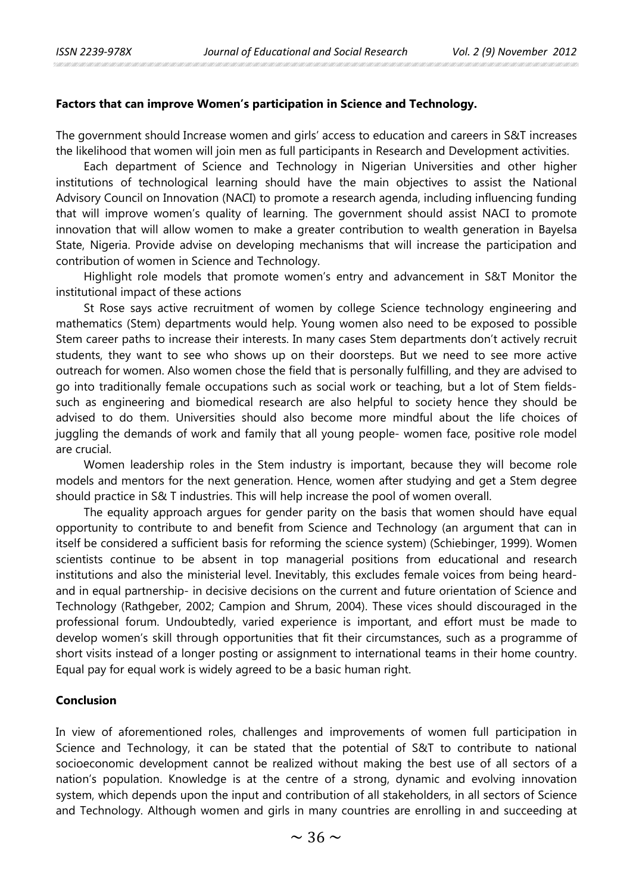## **Factors that can improve Women's participation in Science and Technology.**

The government should Increase women and girls' access to education and careers in S&T increases the likelihood that women will join men as full participants in Research and Development activities.

Each department of Science and Technology in Nigerian Universities and other higher institutions of technological learning should have the main objectives to assist the National Advisory Council on Innovation (NACI) to promote a research agenda, including influencing funding that will improve women's quality of learning. The government should assist NACI to promote innovation that will allow women to make a greater contribution to wealth generation in Bayelsa State, Nigeria. Provide advise on developing mechanisms that will increase the participation and contribution of women in Science and Technology.

Highlight role models that promote women's entry and advancement in S&T Monitor the institutional impact of these actions

St Rose says active recruitment of women by college Science technology engineering and mathematics (Stem) departments would help. Young women also need to be exposed to possible Stem career paths to increase their interests. In many cases Stem departments don't actively recruit students, they want to see who shows up on their doorsteps. But we need to see more active outreach for women. Also women chose the field that is personally fulfilling, and they are advised to go into traditionally female occupations such as social work or teaching, but a lot of Stem fieldssuch as engineering and biomedical research are also helpful to society hence they should be advised to do them. Universities should also become more mindful about the life choices of juggling the demands of work and family that all young people- women face, positive role model are crucial.

Women leadership roles in the Stem industry is important, because they will become role models and mentors for the next generation. Hence, women after studying and get a Stem degree should practice in S& T industries. This will help increase the pool of women overall.

The equality approach argues for gender parity on the basis that women should have equal opportunity to contribute to and benefit from Science and Technology (an argument that can in itself be considered a sufficient basis for reforming the science system) (Schiebinger, 1999). Women scientists continue to be absent in top managerial positions from educational and research institutions and also the ministerial level. Inevitably, this excludes female voices from being heardand in equal partnership- in decisive decisions on the current and future orientation of Science and Technology (Rathgeber, 2002; Campion and Shrum, 2004). These vices should discouraged in the professional forum. Undoubtedly, varied experience is important, and effort must be made to develop women's skill through opportunities that fit their circumstances, such as a programme of short visits instead of a longer posting or assignment to international teams in their home country. Equal pay for equal work is widely agreed to be a basic human right.

### **Conclusion**

In view of aforementioned roles, challenges and improvements of women full participation in Science and Technology, it can be stated that the potential of S&T to contribute to national socioeconomic development cannot be realized without making the best use of all sectors of a nation's population. Knowledge is at the centre of a strong, dynamic and evolving innovation system, which depends upon the input and contribution of all stakeholders, in all sectors of Science and Technology. Although women and girls in many countries are enrolling in and succeeding at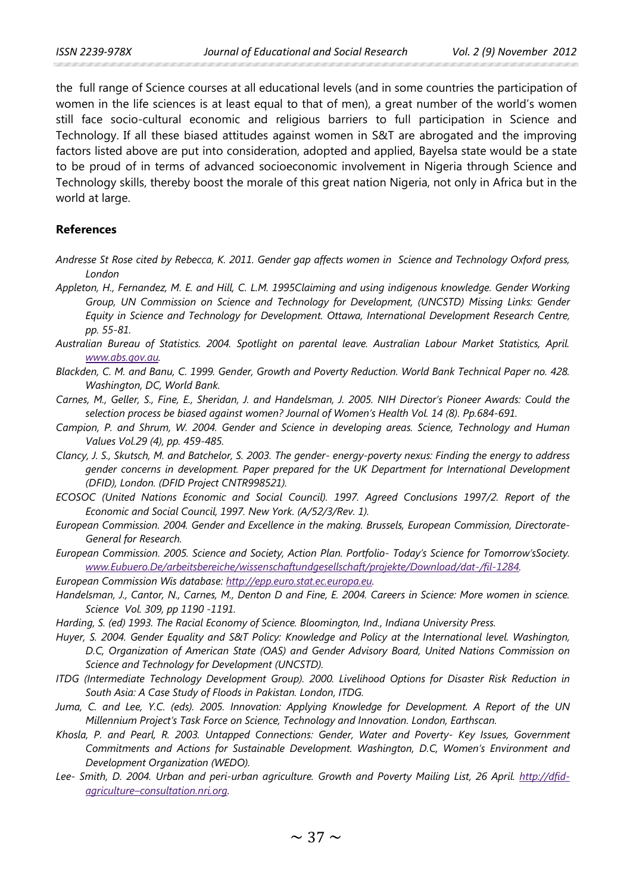the full range of Science courses at all educational levels (and in some countries the participation of women in the life sciences is at least equal to that of men), a great number of the world's women still face socio-cultural economic and religious barriers to full participation in Science and Technology. If all these biased attitudes against women in S&T are abrogated and the improving factors listed above are put into consideration, adopted and applied, Bayelsa state would be a state to be proud of in terms of advanced socioeconomic involvement in Nigeria through Science and Technology skills, thereby boost the morale of this great nation Nigeria, not only in Africa but in the world at large.

## **References**

- *Andresse St Rose cited by Rebecca, K. 2011. Gender gap affects women in Science and Technology Oxford press, London*
- *Appleton, H., Fernandez, M. E. and Hill, C. L.M. 1995Claiming and using indigenous knowledge. Gender Working Group, UN Commission on Science and Technology for Development, (UNCSTD) Missing Links: Gender Equity in Science and Technology for Development. Ottawa, International Development Research Centre, pp. 55-81.*
- *Australian Bureau of Statistics. 2004. Spotlight on parental leave. Australian Labour Market Statistics, April. [www.abs.gov.au.](http://www.abs.gov.au/)*
- *Blackden, C. M. and Banu, C. 1999. Gender, Growth and Poverty Reduction. World Bank Technical Paper no. 428. Washington, DC, World Bank.*
- *Carnes, M., Geller, S., Fine, E., Sheridan, J. and Handelsman, J. 2005. NIH Director's Pioneer Awards: Could the selection process be biased against women? Journal of Women's Health Vol. 14 (8). Pp.684-691.*
- *Campion, P. and Shrum, W. 2004. Gender and Science in developing areas. Science, Technology and Human Values Vol.29 (4), pp. 459-485.*
- *Clancy, J. S., Skutsch, M. and Batchelor, S. 2003. The gender- energy-poverty nexus: Finding the energy to address gender concerns in development. Paper prepared for the UK Department for International Development (DFID), London. (DFID Project CNTR998521).*
- *ECOSOC (United Nations Economic and Social Council). 1997. Agreed Conclusions 1997/2. Report of the Economic and Social Council, 1997. New York. (A/52/3/Rev. 1).*
- *European Commission. 2004. Gender and Excellence in the making. Brussels, European Commission, Directorate-General for Research.*
- *European Commission. 2005. Science and Society, Action Plan. Portfolio- Today's Science for Tomorrow'sSociety. [www.Eubuero.De/arbeitsbereiche/wissenschaftundgesellschaft/projekte/Download/dat-/fil-1284.](http://www.eubuero.de/arbeitsbereiche/wissenschaftundgesellschaft/projekte/Download/dat-/fil-1284)*
- *European Commission Wis database: [http://epp.euro.stat.ec.europa.eu.](http://epp.euro.stat.ec.europa.eu/)*
- *Handelsman, J., Cantor, N., Carnes, M., Denton D and Fine, E. 2004. Careers in Science: More women in science. Science Vol. 309, pp 1190 -1191.*
- *Harding, S. (ed) 1993. The Racial Economy of Science. Bloomington, Ind., Indiana University Press.*
- *Huyer, S. 2004. Gender Equality and S&T Policy: Knowledge and Policy at the International level. Washington, D.C, Organization of American State (OAS) and Gender Advisory Board, United Nations Commission on Science and Technology for Development (UNCSTD).*
- *ITDG (Intermediate Technology Development Group). 2000. Livelihood Options for Disaster Risk Reduction in South Asia: A Case Study of Floods in Pakistan. London, ITDG.*
- *Juma, C. and Lee, Y.C. (eds). 2005. Innovation: Applying Knowledge for Development. A Report of the UN Millennium Project's Task Force on Science, Technology and Innovation. London, Earthscan.*
- *Khosla, P. and Pearl, R. 2003. Untapped Connections: Gender, Water and Poverty- Key Issues, Government Commitments and Actions for Sustainable Development. Washington, D.C, Women's Environment and Development Organization (WEDO).*
- *Lee- Smith, D. 2004. Urban and peri-urban agriculture. Growth and Poverty Mailing List, 26 April. [http://dfid](http://dfid-agriculture–consultation.nri.org/)[agriculture–consultation.nri.org.](http://dfid-agriculture–consultation.nri.org/)*